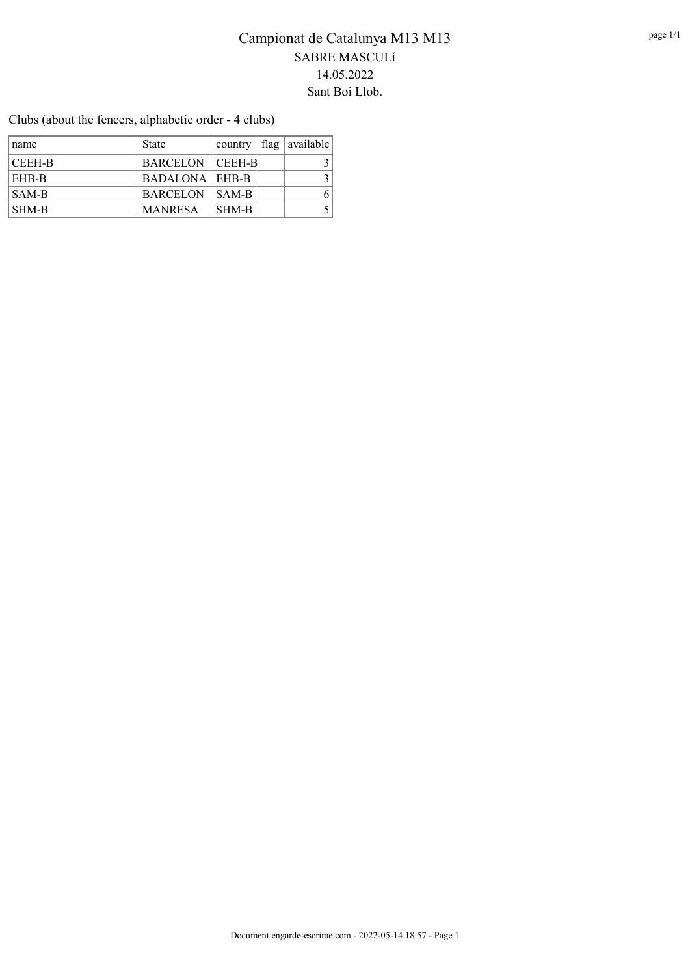Clubs (about the fencers, alphabetic order - 4 clubs)

| name   | State                 |       | country $ flag available $ |
|--------|-----------------------|-------|----------------------------|
| CEEH-B | BARCELON CEEH-B       |       |                            |
| EHB-B  | <b>BADALONA EHB-B</b> |       |                            |
| SAM-B  | <b>BARCELON SAM-B</b> |       |                            |
| SHM-B  | <b>MANRESA</b>        | SHM-B |                            |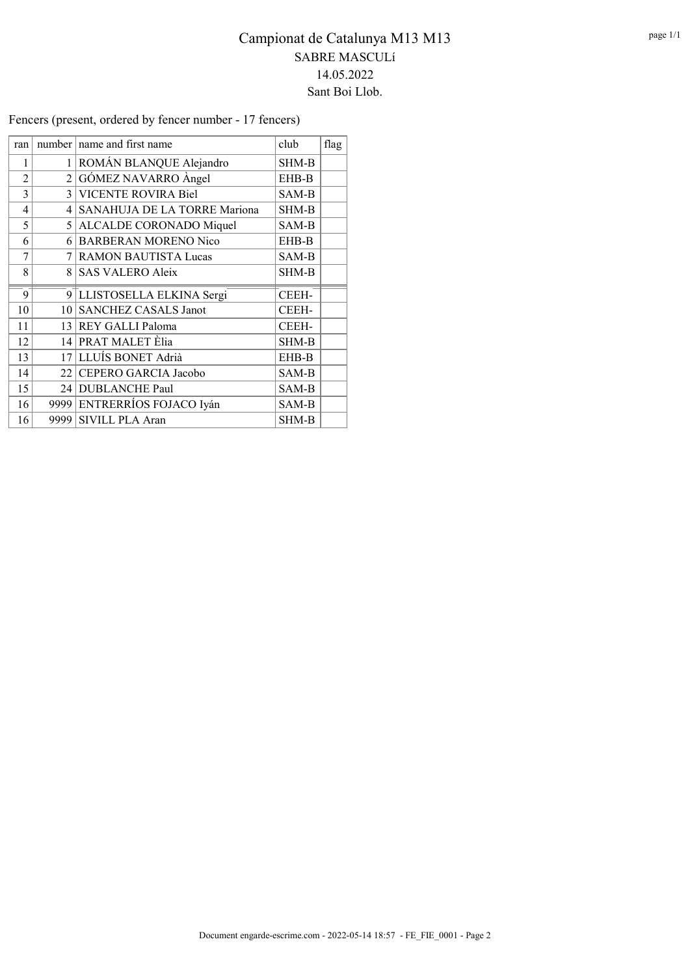Fencers (present, ordered by fencer number - 17 fencers)

| ran            |                 | number name and first name      | club  | flag |
|----------------|-----------------|---------------------------------|-------|------|
| 1              | 1 <sup>1</sup>  | ROMÁN BLANQUE Alejandro         | SHM-B |      |
| $\overline{2}$ |                 | $2 G\acute{o}MEZ$ NAVARRO Angel | EHB-B |      |
| 3              |                 | 3 VICENTE ROVIRA Biel           | SAM-B |      |
| 4              | 4               | SANAHUJA DE LA TORRE Mariona    | SHM-B |      |
| 5              |                 | 5 ALCALDE CORONADO Miquel       | SAM-B |      |
| 6              |                 | 6 BARBERAN MORENO Nico          | EHB-B |      |
| 7              |                 | 7 RAMON BAUTISTA Lucas          | SAM-B |      |
| 8              |                 | 8 SAS VALERO Aleix              | SHM-B |      |
| 9              |                 | 9 LLISTOSELLA ELKINA Sergi      | CEEH- |      |
| 10             | 10 <sup>1</sup> | <b>SANCHEZ CASALS Janot</b>     | CEEH- |      |
| 11             |                 | 13 REY GALLI Paloma             | CEEH- |      |
| 12             |                 | 14 PRAT MALET Èlia              | SHM-B |      |
| 13             |                 | 17 LLUÍS BONET Adrià            | EHB-B |      |
| 14             |                 | 22 CEPERO GARCIA Jacobo         | SAM-B |      |
| 15             |                 | 24 DUBLANCHE Paul               | SAM-B |      |
| 16             |                 | 9999 ENTRERRÍOS FOJACO Iyán     | SAM-B |      |
| 16             |                 | 9999 SIVILL PLA Aran            | SHM-B |      |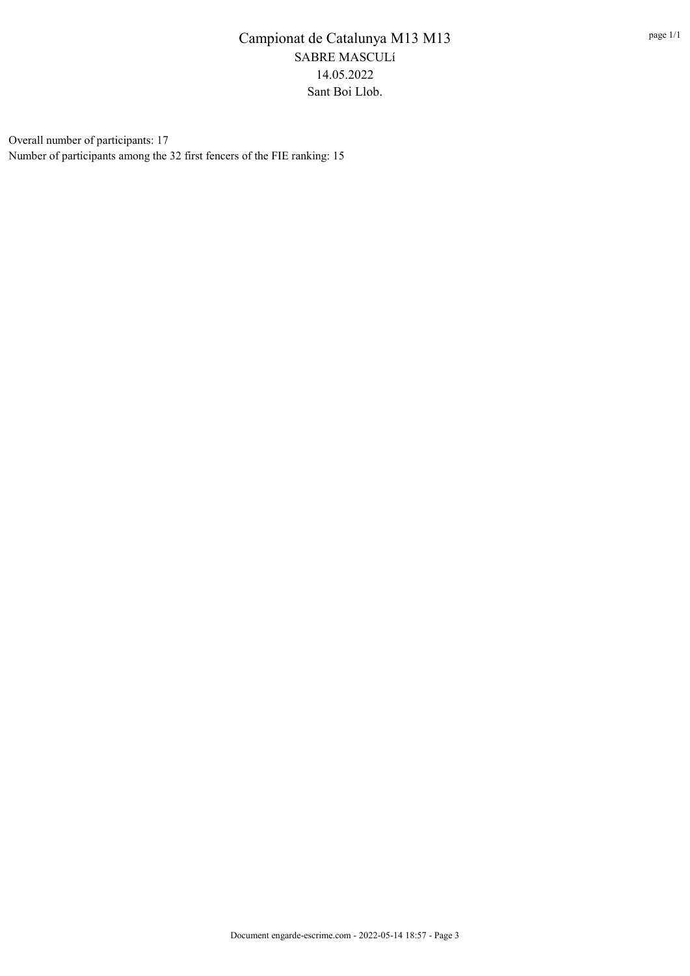Overall number of participants: 17 Number of participants among the 32 first fencers of the FIE ranking: 15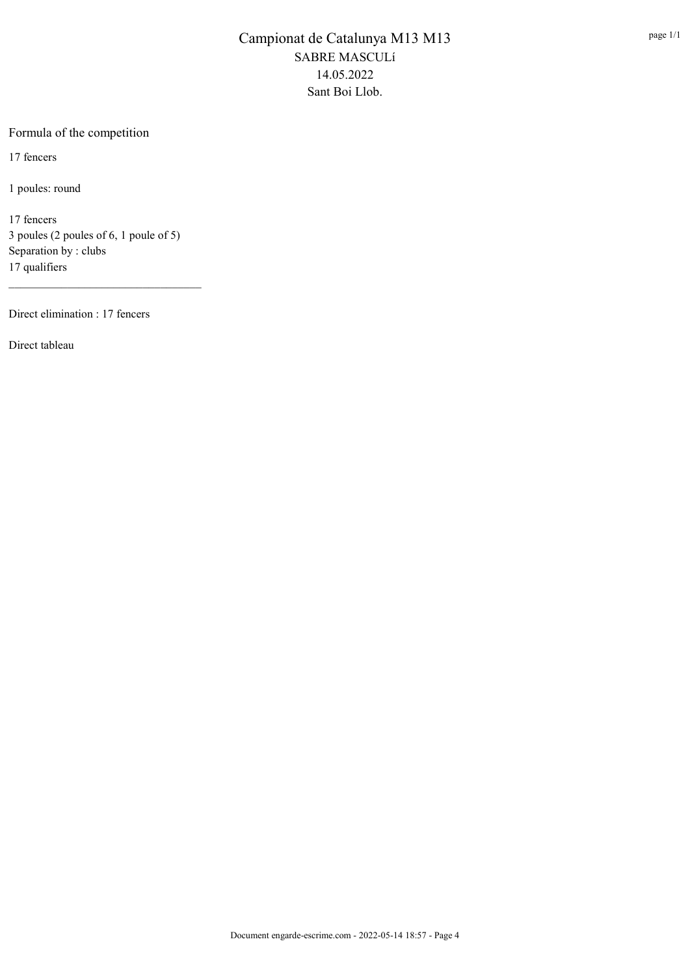#### Formula of the competition

17 fencers

1 poules: round

17 fencers 3 poules (2 poules of 6, 1 poule of 5) Separation by : clubs 17 qualifiers

\_\_\_\_\_\_\_\_\_\_\_\_\_\_\_\_\_\_\_\_\_\_\_\_\_\_\_\_\_\_\_\_\_

Direct elimination : 17 fencers

Direct tableau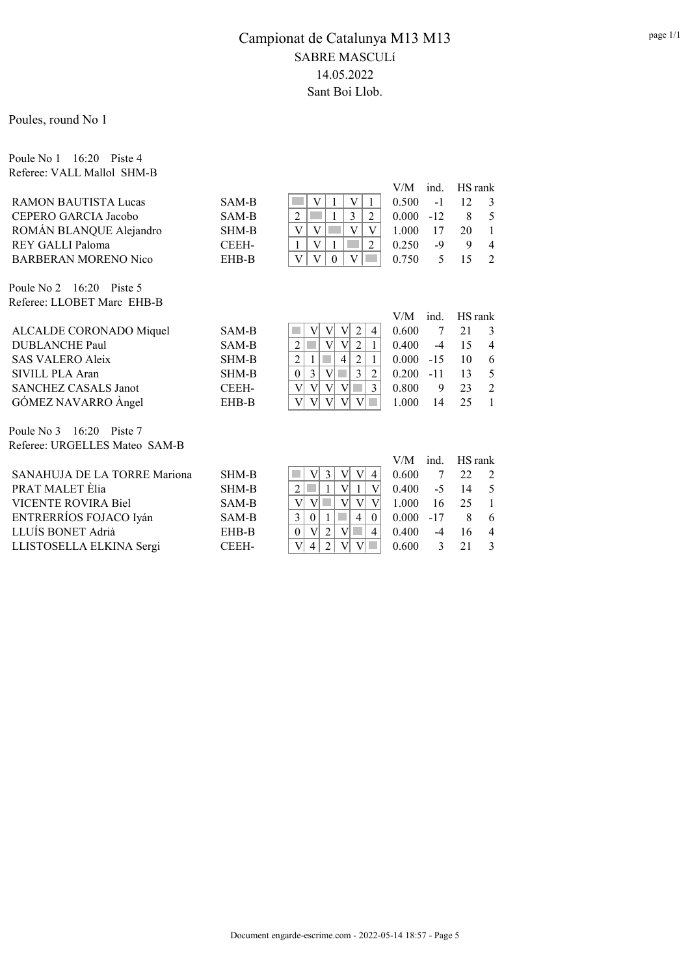V/M ind. HS rank

Poules, round No 1

Poule No 1 16:20 Piste 4 Referee: VALL Mallol SHM-B

|                             |              | V/M   |       | ind. HS rank |                |
|-----------------------------|--------------|-------|-------|--------------|----------------|
| <b>RAMON BAUTISTA Lucas</b> | SAM-B        | 0.500 | $-1$  | 12           | $\mathcal{E}$  |
| CEPERO GARCIA Jacobo        | SAM-B        | 0.000 | $-12$ | 8            | -5             |
| ROMÁN BLANQUE Alejandro     | <b>SHM-B</b> | 1.000 | 17    | 20           |                |
| REY GALLI Paloma            | CEEH-        | 0.250 | -9    | 9            | $\overline{4}$ |
| <b>BARBERAN MORENO Nico</b> | EHB-B        | 0.750 |       |              |                |
|                             |              |       |       |              |                |
| Poule No 2 $16:20$ Piste 5  |              |       |       |              |                |

Referee: LLOBET Marc EHB-B

| ALCALDE CORONADO Miquel     | SAM-B | 0.600<br>4                              |
|-----------------------------|-------|-----------------------------------------|
| <b>DUBLANCHE Paul</b>       | SAM-B | 0.400<br>$-4$<br>$\overline{4}$         |
| <b>SAS VALERO Aleix</b>     | SHM-B | $0.000 -15$<br>- 6<br>10                |
| SIVILL PLA Aran             | SHM-B | $0.200 - 11$<br>13<br>- 5               |
| <b>SANCHEZ CASALS Janot</b> | CEEH- | 0.800<br>◠<br>$\overline{2}$<br>23<br>9 |
| GÓMEZ NAVARRO Àngel         | EHB-B | 000.1<br>14<br>25                       |
|                             |       |                                         |

Poule No 3 16:20 Piste 7 Referee: URGELLES Mateo SAM-B

|                              |       |                | $V/M$ ind. HS rank         |      |    |                |
|------------------------------|-------|----------------|----------------------------|------|----|----------------|
| SANAHUJA DE LA TORRE Mariona | SHM-B |                | 0.600                      |      | 22 | $\overline{2}$ |
| PRAT MALET Èlia              | SHM-B |                | $0.400 -5 14$              |      |    | $\overline{5}$ |
| VICENTE ROVIRA Biel          | SAM-B |                | 1.000                      | 16   | 25 | $\blacksquare$ |
| ENTRERRÍOS FOJACO Iyán       | SAM-B | 4 <sup>1</sup> | $0.000 -17$                |      |    | - 6            |
| LLUÍS BONET Adrià            | EHB-B | 4<br>$\theta$  | 0.400                      | $-4$ | 16 | $\overline{4}$ |
| LLISTOSELLA ELKINA Sergi     | CEEH- | 4              | $0.600 \qquad 3 \qquad 21$ |      |    | $\mathcal{E}$  |
|                              |       |                |                            |      |    |                |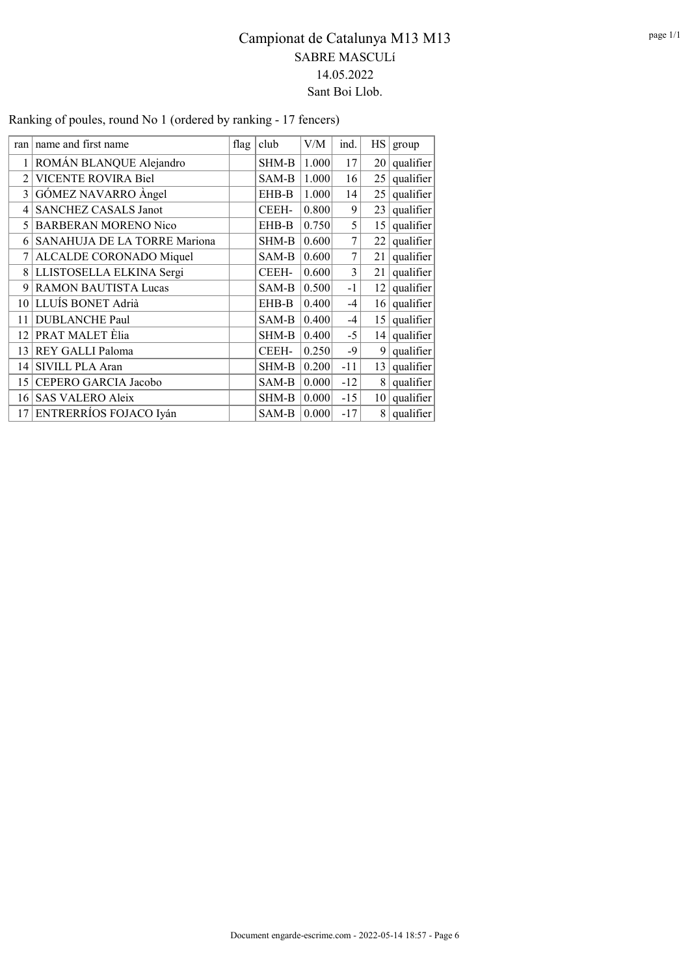| ran             | name and first name           | flag | club         | V/M   | ind.  | HS              | group     |
|-----------------|-------------------------------|------|--------------|-------|-------|-----------------|-----------|
|                 | ROMÁN BLANQUE Alejandro       |      | SHM-B        | 1.000 | 17    | 20              | qualifier |
| $\mathfrak{D}$  | <b>VICENTE ROVIRA Biel</b>    |      | SAM-B        | 1.000 | 16    | 25              | qualifier |
| 3               | GÓMEZ NAVARRO Àngel           |      | EHB-B        | 1.000 | 14    | 25              | qualifier |
| 4               | <b>SANCHEZ CASALS Janot</b>   |      | <b>CEEH-</b> | 0.800 | 9     | 23              | qualifier |
| 5.              | <b>BARBERAN MORENO Nico</b>   |      | EHB-B        | 0.750 | 5     | 15              | qualifier |
| 6               | SANAHUJA DE LA TORRE Mariona  |      | SHM-B        | 0.600 | 7     | 22              | qualifier |
|                 | ALCALDE CORONADO Miquel       |      | SAM-B        | 0.600 | 7     | 21              | qualifier |
| 8               | LLISTOSELLA ELKINA Sergi      |      | <b>CEEH-</b> | 0.600 | 3     | 21              | qualifier |
| 9               | <b>RAMON BAUTISTA Lucas</b>   |      | SAM-B        | 0.500 | $-1$  | 12              | qualifier |
| 10 <sup>1</sup> | LLUÍS BONET Adrià             |      | EHB-B        | 0.400 | -4    | 16              | qualifier |
| 11              | <b>DUBLANCHE Paul</b>         |      | SAM-B        | 0.400 | $-4$  | 15 <sup>1</sup> | qualifier |
| 12              | PRAT MALET Elia               |      | SHM-B        | 0.400 | $-5$  | 14 <sup>1</sup> | qualifier |
| 13              | REY GALLI Paloma              |      | <b>CEEH-</b> | 0.250 | $-9$  | 9               | qualifier |
| 14              | SIVILL PLA Aran               |      | SHM-B        | 0.200 | $-11$ | 13              | qualifier |
| 15              | CEPERO GARCIA Jacobo          |      | SAM-B        | 0.000 | $-12$ | 8               | qualifier |
| 16              | <b>SAS VALERO Aleix</b>       |      | SHM-B        | 0.000 | $-15$ | 10 <sup>1</sup> | qualifier |
| 17              | <b>ENTRERRÍOS FOJACO Iyán</b> |      | SAM-B        | 0.000 | $-17$ | 8               | qualifier |

Ranking of poules, round No 1 (ordered by ranking - 17 fencers)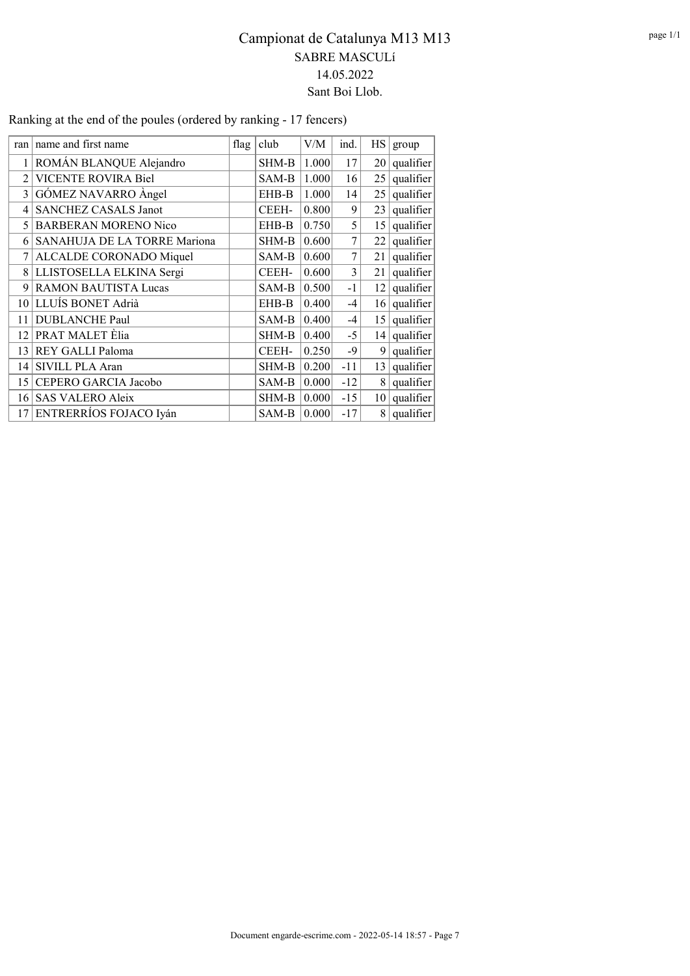| ran            | name and first name          | flag | club  | V/M   | ind.  | HS              | group     |
|----------------|------------------------------|------|-------|-------|-------|-----------------|-----------|
|                | ROMÁN BLANQUE Alejandro      |      | SHM-B | 1.000 | 17    | 20 <sub>1</sub> | qualifier |
| $\mathfrak{D}$ | VICENTE ROVIRA Biel          |      | SAM-B | 1.000 | 16    | 25              | qualifier |
| 3              | GÓMEZ NAVARRO Àngel          |      | EHB-B | 1.000 | 14    | 25              | qualifier |
| 4              | <b>SANCHEZ CASALS Janot</b>  |      | CEEH- | 0.800 | 9     | 23              | qualifier |
| 5              | <b>BARBERAN MORENO Nico</b>  |      | EHB-B | 0.750 | 5     | 15 <sup>1</sup> | qualifier |
| 6              | SANAHUJA DE LA TORRE Mariona |      | SHM-B | 0.600 | 7     | 22              | qualifier |
| 7              | ALCALDE CORONADO Miquel      |      | SAM-B | 0.600 | 7     | 21              | qualifier |
|                | 8 LLISTOSELLA ELKINA Sergi   |      | CEEH- | 0.600 | 3     | 21              | qualifier |
| 9              | <b>RAMON BAUTISTA Lucas</b>  |      | SAM-B | 0.500 | $-1$  | 12 <sub>1</sub> | qualifier |
| 10             | LLUÍS BONET Adrià            |      | EHB-B | 0.400 | $-4$  | 16 <sup>1</sup> | qualifier |
| 11             | <b>DUBLANCHE Paul</b>        |      | SAM-B | 0.400 | $-4$  | 15 <sup>1</sup> | qualifier |
| 12             | PRAT MALET Elia              |      | SHM-B | 0.400 | $-5$  | 14              | qualifier |
| 13             | REY GALLI Paloma             |      | CEEH- | 0.250 | -9    | 9 <sup>1</sup>  | qualifier |
| 14             | SIVILL PLA Aran              |      | SHM-B | 0.200 | $-11$ | 13 <sup>1</sup> | qualifier |
| 15             | CEPERO GARCIA Jacobo         |      | SAM-B | 0.000 | $-12$ | 8               | qualifier |
| 16             | <b>SAS VALERO Aleix</b>      |      | SHM-B | 0.000 | $-15$ | 10 <sup>1</sup> | qualifier |
| 17             | ENTRERRÍOS FOJACO Iyán       |      | SAM-B | 0.000 | $-17$ | 8               | qualifier |

Ranking at the end of the poules (ordered by ranking - 17 fencers)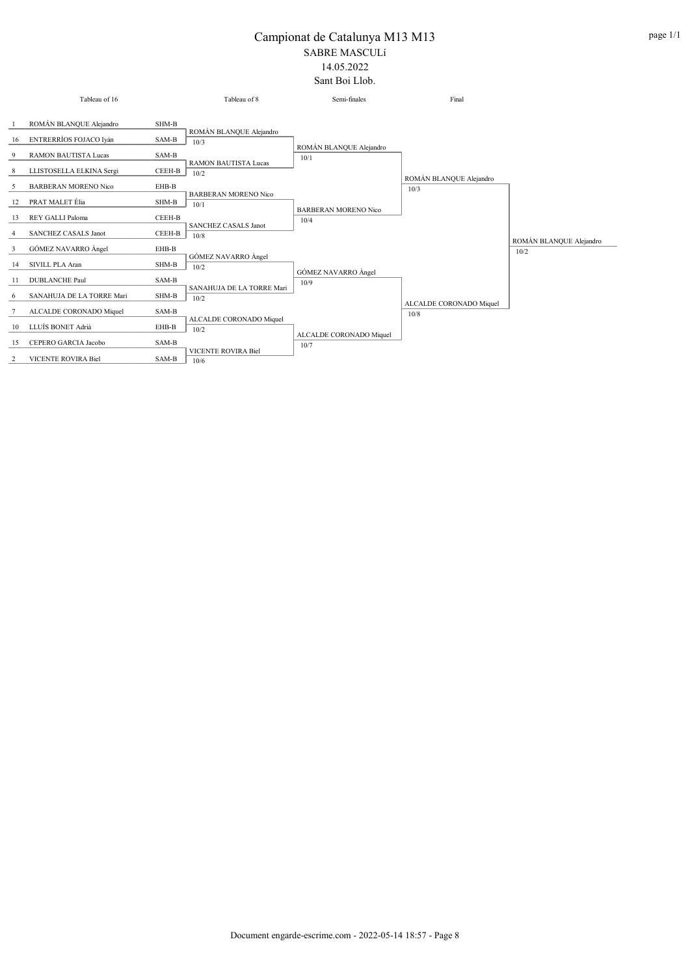#### Campionat de Catalunya M13 M13 SABRE MASCULí 14.05.2022

Sant Boi Llob.

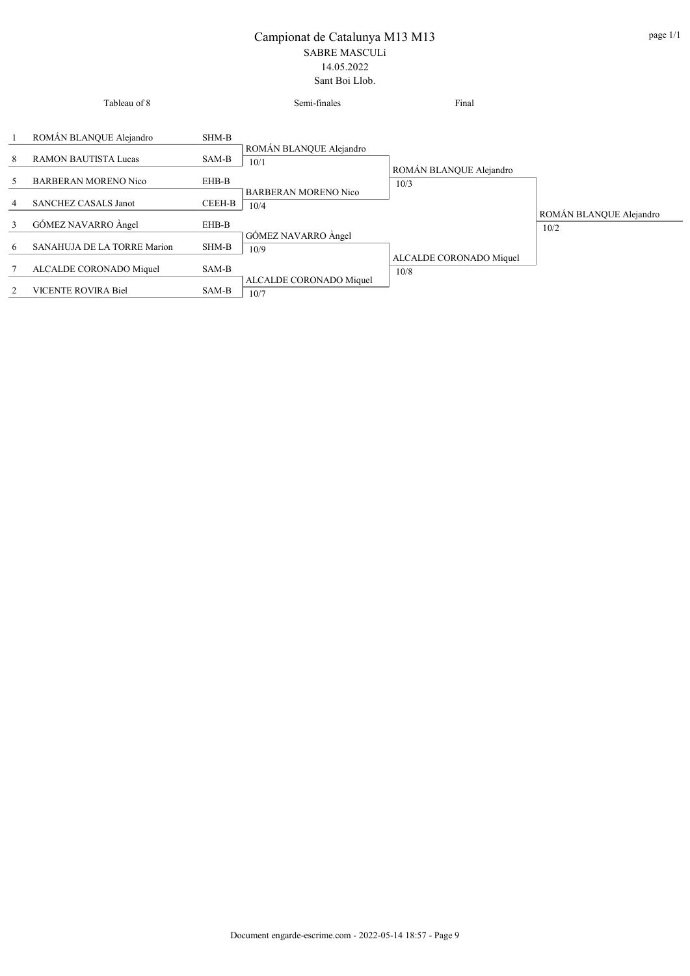|    | Tableau of 8                                           |                | Semi-finales                        | Final                           |                         |
|----|--------------------------------------------------------|----------------|-------------------------------------|---------------------------------|-------------------------|
| 8  | ROMÁN BLANQUE Alejandro<br><b>RAMON BAUTISTA Lucas</b> | SHM-B<br>SAM-B | ROMÁN BLANQUE Alejandro             |                                 |                         |
| 5. | <b>BARBERAN MORENO Nico</b>                            | EHB-B          | 10/1                                | ROMÁN BLANQUE Alejandro<br>10/3 |                         |
| 4  | <b>SANCHEZ CASALS Janot</b>                            | CEEH-B         | <b>BARBERAN MORENO Nico</b><br>10/4 |                                 | ROMÁN BLANQUE Alejandro |
| 3  | GÓMEZ NAVARRO Àngel                                    | EHB-B          |                                     |                                 | 10/2                    |
| 6  | SANAHUJA DE LA TORRE Marion                            | SHM-B          | GÓMEZ NAVARRO Àngel<br>10/9         |                                 |                         |
|    | ALCALDE CORONADO Miquel                                | SAM-B          |                                     | ALCALDE CORONADO Miquel<br>10/8 |                         |
| 2  | VICENTE ROVIRA Biel                                    | SAM-B          | ALCALDE CORONADO Miquel<br>10/7     |                                 |                         |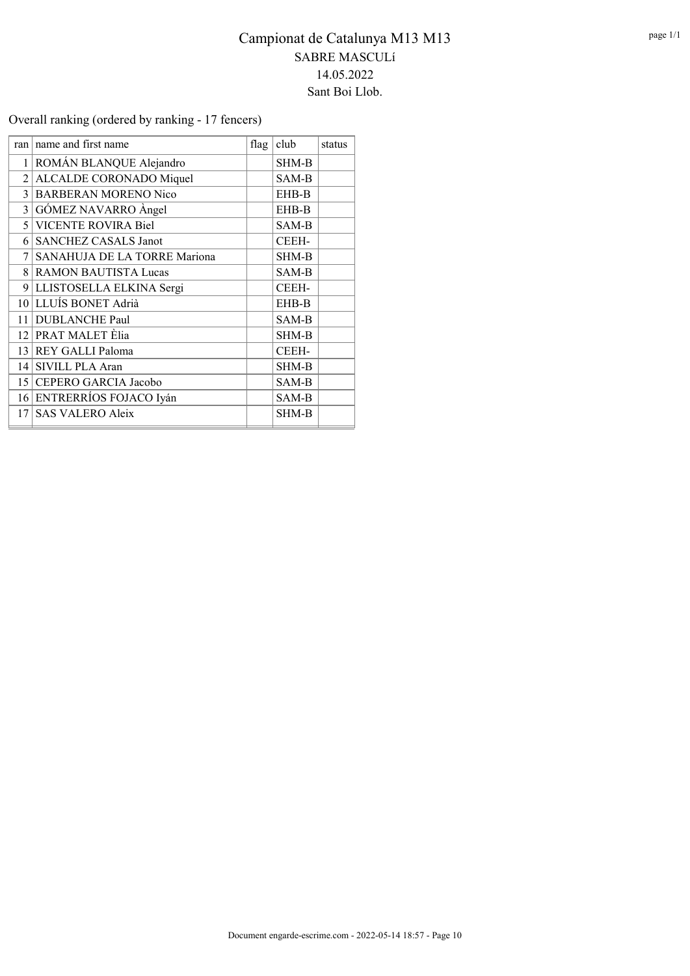Overall ranking (ordered by ranking - 17 fencers)

| ran             | name and first name          | flag | club         | status |
|-----------------|------------------------------|------|--------------|--------|
|                 | 1 ROMÁN BLANQUE Alejandro    |      | <b>SHM-B</b> |        |
| 2 <sup>1</sup>  | ALCALDE CORONADO Miquel      |      | SAM-B        |        |
| $\mathcal{E}$   | <b>BARBERAN MORENO Nico</b>  |      | EHB-B        |        |
| $\frac{3}{ }$   | GÓMEZ NAVARRO Àngel          |      | EHB-B        |        |
| $\mathfrak{H}$  | <b>VICENTE ROVIRA Biel</b>   |      | SAM-B        |        |
| 6               | <b>SANCHEZ CASALS Janot</b>  |      | CEEH-        |        |
| 7               | SANAHUJA DE LA TORRE Mariona |      | SHM-B        |        |
| 8 <sup>1</sup>  | <b>RAMON BAUTISTA Lucas</b>  |      | SAM-B        |        |
|                 | 9 LLISTOSELLA ELKINA Sergi   |      | CEEH-        |        |
|                 | 10 LLUÍS BONET Adrià         |      | EHB-B        |        |
|                 | 11 DUBLANCHE Paul            |      | SAM-B        |        |
|                 | 12 PRAT MALET Èlia           |      | SHM-B        |        |
|                 | 13 REY GALLI Paloma          |      | CEEH-        |        |
| 4               | SIVILL PLA Aran              |      | <b>SHM-B</b> |        |
|                 | 15 CEPERO GARCIA Jacobo      |      | SAM-B        |        |
|                 | 16 ENTRERRÍOS FOJACO Iyán    |      | SAM-B        |        |
| 17 <sup>1</sup> | <b>SAS VALERO Aleix</b>      |      | SHM-B        |        |